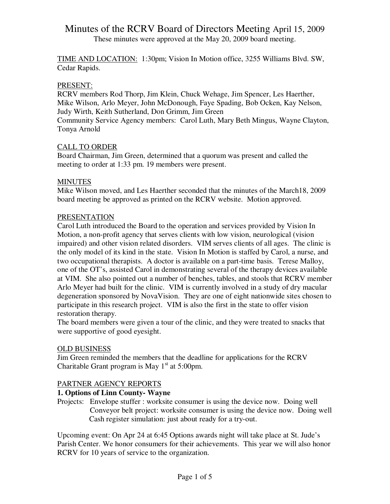These minutes were approved at the May 20, 2009 board meeting.

TIME AND LOCATION: 1:30pm; Vision In Motion office, 3255 Williams Blvd. SW, Cedar Rapids.

#### PRESENT:

RCRV members Rod Thorp, Jim Klein, Chuck Wehage, Jim Spencer, Les Haerther, Mike Wilson, Arlo Meyer, John McDonough, Faye Spading, Bob Ocken, Kay Nelson, Judy Wirth, Keith Sutherland, Don Grimm, Jim Green Community Service Agency members: Carol Luth, Mary Beth Mingus, Wayne Clayton, Tonya Arnold

### CALL TO ORDER

Board Chairman, Jim Green, determined that a quorum was present and called the meeting to order at 1:33 pm. 19 members were present.

#### **MINUTES**

Mike Wilson moved, and Les Haerther seconded that the minutes of the March18, 2009 board meeting be approved as printed on the RCRV website. Motion approved.

#### PRESENTATION

Carol Luth introduced the Board to the operation and services provided by Vision In Motion, a non-profit agency that serves clients with low vision, neurological (vision impaired) and other vision related disorders. VIM serves clients of all ages. The clinic is the only model of its kind in the state. Vision In Motion is staffed by Carol, a nurse, and two occupational therapists. A doctor is available on a part-time basis. Terese Malloy, one of the OT's, assisted Carol in demonstrating several of the therapy devices available at VIM. She also pointed out a number of benches, tables, and stools that RCRV member Arlo Meyer had built for the clinic. VIM is currently involved in a study of dry macular degeneration sponsored by NovaVision. They are one of eight nationwide sites chosen to participate in this research project. VIM is also the first in the state to offer vision restoration therapy.

The board members were given a tour of the clinic, and they were treated to snacks that were supportive of good eyesight.

#### OLD BUSINESS

Jim Green reminded the members that the deadline for applications for the RCRV Charitable Grant program is May  $1<sup>st</sup>$  at 5:00pm.

### PARTNER AGENCY REPORTS

### **1. Options of Linn County- Wayne**

Projects: Envelope stuffer : worksite consumer is using the device now. Doing well Conveyor belt project: worksite consumer is using the device now. Doing well Cash register simulation: just about ready for a try-out.

Upcoming event: On Apr 24 at 6:45 Options awards night will take place at St. Jude's Parish Center. We honor consumers for their achievements. This year we will also honor RCRV for 10 years of service to the organization.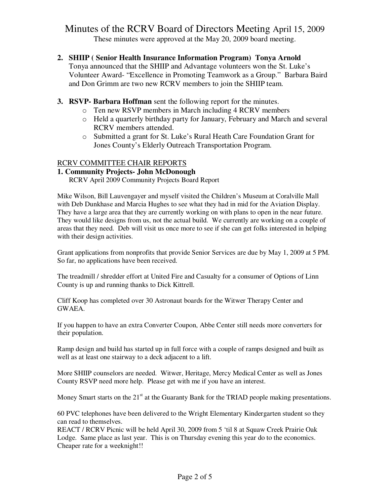These minutes were approved at the May 20, 2009 board meeting.

**2. SHIIP ( Senior Health Insurance Information Program) Tonya Arnold** 

Tonya announced that the SHIIP and Advantage volunteers won the St. Luke's Volunteer Award- "Excellence in Promoting Teamwork as a Group." Barbara Baird and Don Grimm are two new RCRV members to join the SHIIP team.

- **3. RSVP- Barbara Hoffman** sent the following report for the minutes.
	- o Ten new RSVP members in March including 4 RCRV members
	- o Held a quarterly birthday party for January, February and March and several RCRV members attended.
	- o Submitted a grant for St. Luke's Rural Heath Care Foundation Grant for Jones County's Elderly Outreach Transportation Program.

#### RCRV COMMITTEE CHAIR REPORTS

#### **1. Community Projects- John McDonough**

RCRV April 2009 Community Projects Board Report

Mike Wilson, Bill Lauvengayer and myself visited the Children's Museum at Coralville Mall with Deb Dunkhase and Marcia Hughes to see what they had in mid for the Aviation Display. They have a large area that they are currently working on with plans to open in the near future. They would like designs from us, not the actual build. We currently are working on a couple of areas that they need. Deb will visit us once more to see if she can get folks interested in helping with their design activities.

Grant applications from nonprofits that provide Senior Services are due by May 1, 2009 at 5 PM. So far, no applications have been received.

The treadmill / shredder effort at United Fire and Casualty for a consumer of Options of Linn County is up and running thanks to Dick Kittrell.

Cliff Koop has completed over 30 Astronaut boards for the Witwer Therapy Center and GWAEA.

If you happen to have an extra Converter Coupon, Abbe Center still needs more converters for their population.

Ramp design and build has started up in full force with a couple of ramps designed and built as well as at least one stairway to a deck adjacent to a lift.

More SHIIP counselors are needed. Witwer, Heritage, Mercy Medical Center as well as Jones County RSVP need more help. Please get with me if you have an interest.

Money Smart starts on the  $21<sup>st</sup>$  at the Guaranty Bank for the TRIAD people making presentations.

60 PVC telephones have been delivered to the Wright Elementary Kindergarten student so they can read to themselves.

REACT / RCRV Picnic will be held April 30, 2009 from 5 'til 8 at Squaw Creek Prairie Oak Lodge. Same place as last year. This is on Thursday evening this year do to the economics. Cheaper rate for a weeknight!!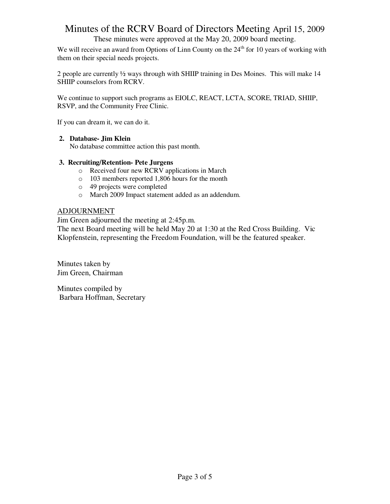These minutes were approved at the May 20, 2009 board meeting.

We will receive an award from Options of Linn County on the  $24<sup>th</sup>$  for 10 years of working with them on their special needs projects.

2 people are currently ½ ways through with SHIIP training in Des Moines. This will make 14 SHIIP counselors from RCRV.

We continue to support such programs as EIOLC, REACT, LCTA, SCORE, TRIAD, SHIIP, RSVP, and the Community Free Clinic.

If you can dream it, we can do it.

#### **2. Database- Jim Klein**

No database committee action this past month.

#### **3. Recruiting/Retention- Pete Jurgens**

- o Received four new RCRV applications in March
- o 103 members reported 1,806 hours for the month
- o 49 projects were completed
- o March 2009 Impact statement added as an addendum.

#### ADJOURNMENT

Jim Green adjourned the meeting at 2:45p.m.

The next Board meeting will be held May 20 at 1:30 at the Red Cross Building. Vic Klopfenstein, representing the Freedom Foundation, will be the featured speaker.

Minutes taken by Jim Green, Chairman

Minutes compiled by Barbara Hoffman, Secretary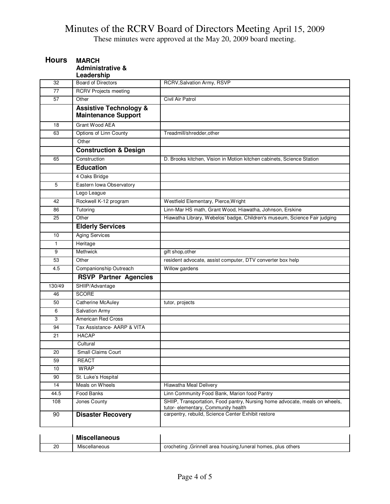These minutes were approved at the May 20, 2009 board meeting.

| <b>Hours</b> | <b>MARCH</b><br><b>Administrative &amp;</b><br>Leadership       |                                                                                                                    |
|--------------|-----------------------------------------------------------------|--------------------------------------------------------------------------------------------------------------------|
| 32           | <b>Board of Directors</b>                                       | RCRV, Salvation Army, RSVP                                                                                         |
| 77           | <b>RCRV Projects meeting</b>                                    |                                                                                                                    |
| 57           | Other                                                           | Civil Air Patrol                                                                                                   |
|              | <b>Assistive Technology &amp;</b><br><b>Maintenance Support</b> |                                                                                                                    |
| 18           | Grant Wood AEA                                                  |                                                                                                                    |
| 63           | Options of Linn County                                          | Treadmill/shredder.other                                                                                           |
|              | Other                                                           |                                                                                                                    |
|              | <b>Construction &amp; Design</b>                                |                                                                                                                    |
| 65           | Construction                                                    | D. Brooks kitchen, Vision in Motion kitchen cabinets, Science Station                                              |
|              | <b>Education</b>                                                |                                                                                                                    |
|              | 4 Oaks Bridge                                                   |                                                                                                                    |
| 5            | Eastern Iowa Observatory                                        |                                                                                                                    |
|              | Lego League                                                     |                                                                                                                    |
| 42           | Rockwell K-12 program                                           | Westfield Elementary, Pierce, Wright                                                                               |
| 86           | Tutoring                                                        | Linn-Mar HS math, Grant Wood, Hiawatha, Johnson, Erskine                                                           |
| 25           | Other                                                           | Hiawatha Library, Webelos' badge, Children's museum, Science Fair judging                                          |
|              | <b>Elderly Services</b>                                         |                                                                                                                    |
| 10           | <b>Aging Services</b>                                           |                                                                                                                    |
| $\mathbf{1}$ | Heritage                                                        |                                                                                                                    |
| 9            | Methwick                                                        | gift shop, other                                                                                                   |
| 53           | Other                                                           | resident advocate, assist computer, DTV converter box help                                                         |
| 4.5          | Companionship Outreach                                          | Willow gardens                                                                                                     |
|              | <b>RSVP Partner Agencies</b>                                    |                                                                                                                    |
| 130/49       | SHIIP/Advantage                                                 |                                                                                                                    |
| 46           | <b>SCORE</b>                                                    |                                                                                                                    |
| 50           | Catherine McAuley                                               | tutor, projects                                                                                                    |
| 6            | <b>Salvation Army</b>                                           |                                                                                                                    |
| 3            | <b>American Red Cross</b>                                       |                                                                                                                    |
| 94           | Tax Assistance- AARP & VITA                                     |                                                                                                                    |
| 21           | <b>HACAP</b>                                                    |                                                                                                                    |
|              | Cultural                                                        |                                                                                                                    |
| 20           | <b>Small Claims Court</b>                                       |                                                                                                                    |
| 59           | <b>REACT</b>                                                    |                                                                                                                    |
| 10           | <b>WRAP</b>                                                     |                                                                                                                    |
| 90           | St. Luke's Hospital                                             |                                                                                                                    |
| 14           | Meals on Wheels                                                 | <b>Hiawatha Meal Delivery</b>                                                                                      |
| 44.5         | Food Banks                                                      | Linn Community Food Bank, Marion food Pantry                                                                       |
| 108          | Jones County                                                    | SHIIP, Transportation, Food pantry, Nursing home advocate, meals on wheels,<br>tutor- elementary, Community health |
| 90           | <b>Disaster Recovery</b>                                        | carpentry, rebuild, Science Center Exhibit restore                                                                 |
|              | <b>Miscellaneous</b>                                            |                                                                                                                    |
| 20           | Miscellaneous                                                   | crocheting , Grinnell area housing, funeral homes, plus others                                                     |